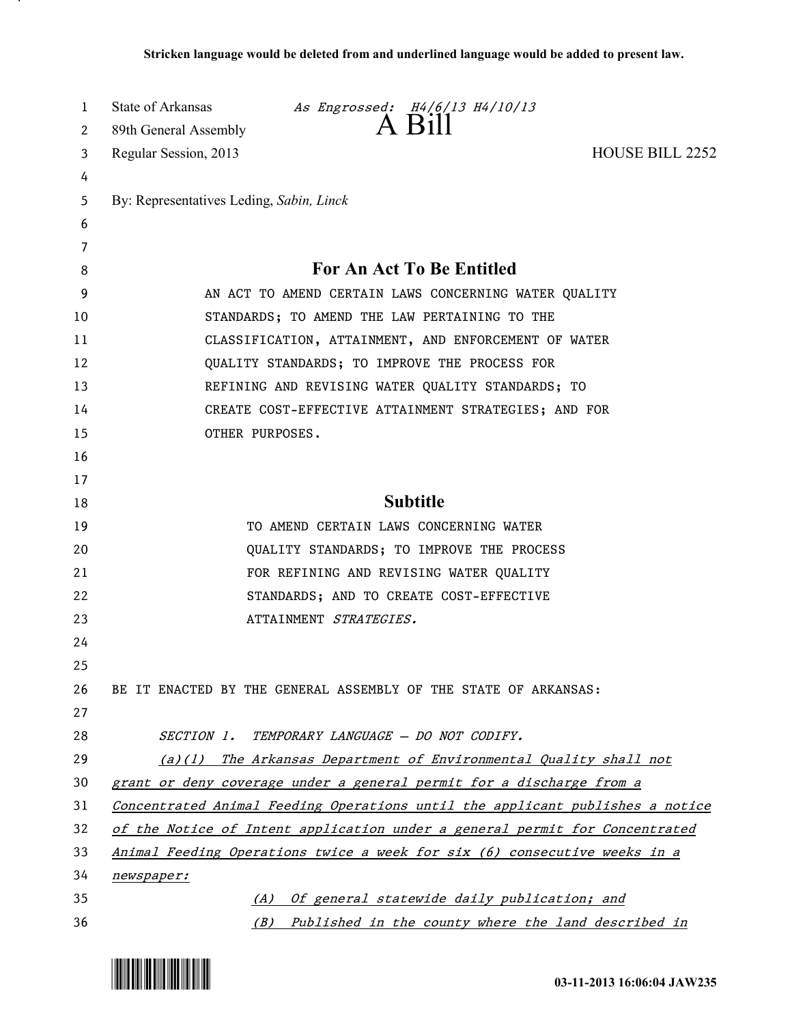| 1  | State of Arkansas<br><i>As Engrossed: H4/6/13 H4/10/13</i>                    |  |
|----|-------------------------------------------------------------------------------|--|
| 2  | A Bill<br>89th General Assembly                                               |  |
| 3  | HOUSE BILL 2252<br>Regular Session, 2013                                      |  |
| 4  |                                                                               |  |
| 5  | By: Representatives Leding, Sabin, Linck                                      |  |
| 6  |                                                                               |  |
| 7  |                                                                               |  |
| 8  | For An Act To Be Entitled                                                     |  |
| 9  | AN ACT TO AMEND CERTAIN LAWS CONCERNING WATER QUALITY                         |  |
| 10 | STANDARDS; TO AMEND THE LAW PERTAINING TO THE                                 |  |
| 11 | CLASSIFICATION, ATTAINMENT, AND ENFORCEMENT OF WATER                          |  |
| 12 | QUALITY STANDARDS; TO IMPROVE THE PROCESS FOR                                 |  |
| 13 | REFINING AND REVISING WATER QUALITY STANDARDS; TO                             |  |
| 14 | CREATE COST-EFFECTIVE ATTAINMENT STRATEGIES; AND FOR                          |  |
| 15 | OTHER PURPOSES.                                                               |  |
| 16 |                                                                               |  |
| 17 |                                                                               |  |
| 18 | <b>Subtitle</b>                                                               |  |
| 19 | TO AMEND CERTAIN LAWS CONCERNING WATER                                        |  |
| 20 | QUALITY STANDARDS; TO IMPROVE THE PROCESS                                     |  |
| 21 | FOR REFINING AND REVISING WATER QUALITY                                       |  |
| 22 | STANDARDS; AND TO CREATE COST-EFFECTIVE                                       |  |
| 23 | ATTAINMENT STRATEGIES.                                                        |  |
| 24 |                                                                               |  |
| 25 |                                                                               |  |
| 26 | BE IT ENACTED BY THE GENERAL ASSEMBLY OF THE STATE OF ARKANSAS:               |  |
| 27 |                                                                               |  |
| 28 | SECTION 1. TEMPORARY LANGUAGE - DO NOT CODIFY.                                |  |
| 29 | $(a)(1)$ The Arkansas Department of Environmental Quality shall not           |  |
| 30 | grant or deny coverage under a general permit for a discharge from a          |  |
| 31 | Concentrated Animal Feeding Operations until the applicant publishes a notice |  |
| 32 | of the Notice of Intent application under a general permit for Concentrated   |  |
| 33 | Animal Feeding Operations twice a week for six (6) consecutive weeks in a     |  |
| 34 | newspaper:                                                                    |  |
| 35 | Of general statewide daily publication; and<br>(A)                            |  |
| 36 | Published in the county where the land described in<br>(B)                    |  |



.